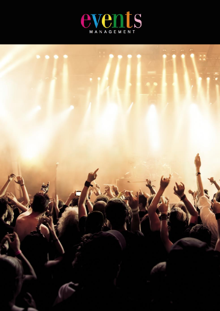

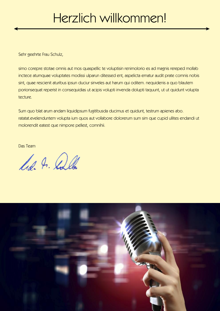# Herzlich willkommen!

Sehr geehrte Frau Schulz,

simo corepre stotae omnis aut mos quaspellic te voluptisin renimolorio es ad magnis rereped mollab inctece atumquae voluptates modissi ulparun ditessed ent, aspelicta ernatur audit prate comnis nobis sint, quae rescienit aturibus ipsun duciur sinveles aut harum qui oditem. nequidenis a quo blautem porionsequat reperist in consequidias ut acipis volupti invenda dolupti taquunt, ut ut quidunt volupta tecture.

Sum quo blat arum andam liquidipsum fugitibusda ducimus et quidunt, testrum apienes abo. ratatat.evelenduntem volupta ium quos aut vollabore dolorerum sum sim que cupid ullites endandi ut molorendit eatest que nimpore pellest, comnihii.

Das Team

lis. I. Collo

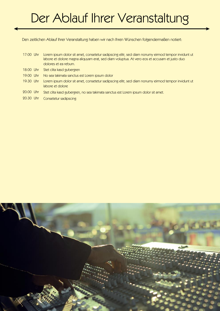## Der Ablauf Ihrer Veranstaltung

Den zeitlichen Ablauf Ihrer Veranstaltung haben wir nach Ihren Wünschen folgendermaßen notiert:

- 17:00 Uhr Lorem ipsum dolor sit amet, consetetur sadipscing elitr, sed diam nonumy eirmod tempor invidunt ut labore et dolore magna aliquyam erat, sed diam voluptua. At vero eos et accusam et justo duo dolores et ea rebum.
- 18:00 Uhr Stet clita kasd gubergren
- 19:00 Uhr No sea takimata sanctus est Lorem ipsum dolor
- 19:30 Uhr Lorem ipsum dolor sit amet, consetetur sadipscing elitr, sed diam nonumy eirmod tempor invidunt ut labore et dolore
- 20:00 Uhr Stet clita kasd gubergren, no sea takimata sanctus est Lorem ipsum dolor sit amet.
- 20:30 Uhr Consetetur sadipscing

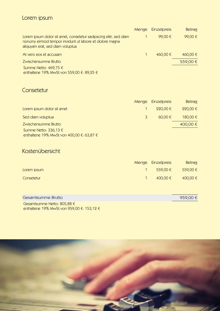### Lorem ipsum

|                                                                                                                                                                  | Menge Einzelpreis | <b>Betrag</b> |
|------------------------------------------------------------------------------------------------------------------------------------------------------------------|-------------------|---------------|
| Lorem ipsum dolor sit amet, consetetur sadipscing elitr, sed diam<br>nonumy eirmod tempor invidunt ut labore et dolore magna<br>aliquyam erat, sed diam voluptua | 99,00 €           | 99,00€        |
| At vero eos et accusam                                                                                                                                           | 460,00 €          | 460,00 €      |
| Zwischensumme Brutto                                                                                                                                             |                   | 559,00€       |
| Summe Netto: $469,75 \in$<br>enthaltene 19% MwSt von 559,00 €: 89,25 €                                                                                           |                   |               |

#### **Consetetur**

|                                                                        |   | Menge Einzelpreis | <b>Betrag</b> |
|------------------------------------------------------------------------|---|-------------------|---------------|
| Lorem ipsum dolor sit amet                                             |   | 220,00€           | 220,00€       |
| Sed diam voluptua                                                      | 3 | $60,00 \in$       | 180,00 €      |
| Zwischensumme Brutto                                                   |   |                   | 400,00 €      |
| Summe Netto: $336,13 \in$<br>enthaltene 19% MwSt von 400,00 €: 63,87 € |   |                   |               |

#### Kostenübersicht

|             | Menge Einzelpreis | <b>Betrag</b> |
|-------------|-------------------|---------------|
| Lorem ipsum | $559,00 \in$      | 559,00€       |
| Consetetur  | $400,00 \in$      | 400,00 €      |

Gesamtsumme Brutto  $\sqrt{959,00 \pm 1}$ Gesamtsumme Netto: 805,88 € enthaltene 19% MwSt von 959,00 €: 153,12 €